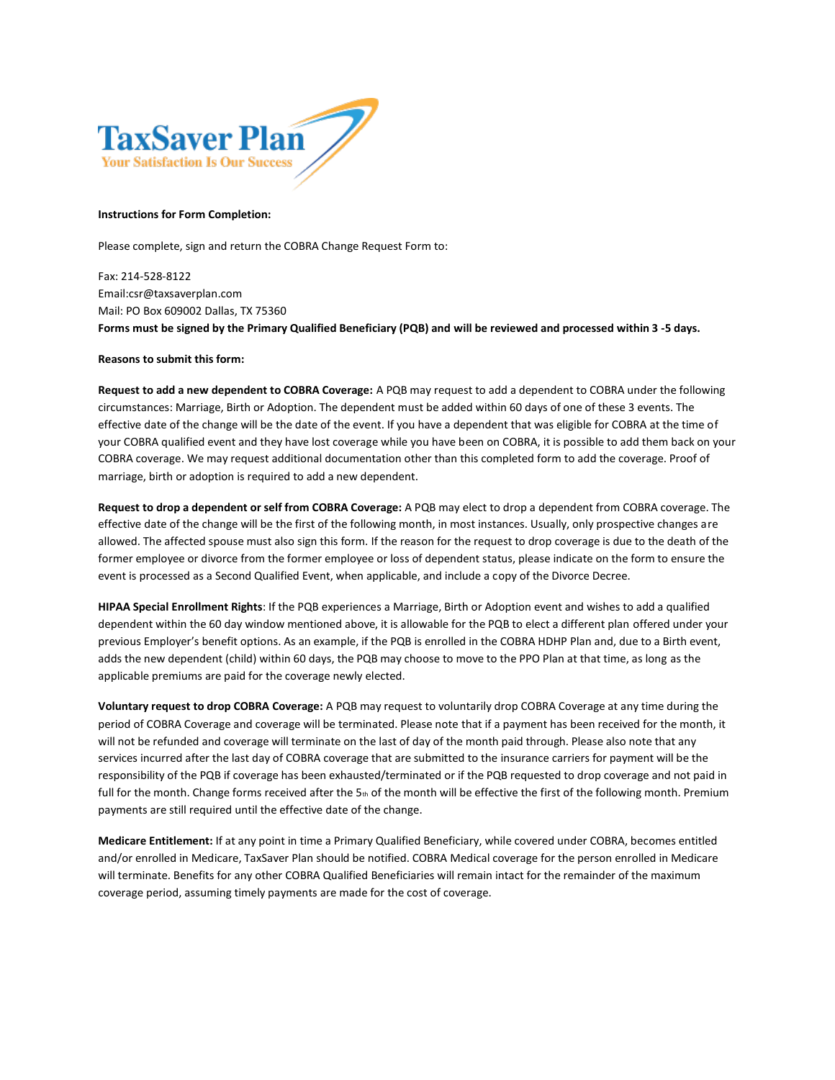

## **Instructions for Form Completion:**

Please complete, sign and return the COBRA Change Request Form to:

Fax: 214-528-8122 Email:csr@taxsaverplan.com Mail: PO Box 609002 Dallas, TX 75360 **Forms must be signed by the Primary Qualified Beneficiary (PQB) and will be reviewed and processed within 3 -5 days.**

## **Reasons to submit this form:**

**Request to add a new dependent to COBRA Coverage:** A PQB may request to add a dependent to COBRA under the following circumstances: Marriage, Birth or Adoption. The dependent must be added within 60 days of one of these 3 events. The effective date of the change will be the date of the event. If you have a dependent that was eligible for COBRA at the time of your COBRA qualified event and they have lost coverage while you have been on COBRA, it is possible to add them back on your COBRA coverage. We may request additional documentation other than this completed form to add the coverage. Proof of marriage, birth or adoption is required to add a new dependent.

**Request to drop a dependent or self from COBRA Coverage:** A PQB may elect to drop a dependent from COBRA coverage. The effective date of the change will be the first of the following month, in most instances. Usually, only prospective changes are allowed. The affected spouse must also sign this form. If the reason for the request to drop coverage is due to the death of the former employee or divorce from the former employee or loss of dependent status, please indicate on the form to ensure the event is processed as a Second Qualified Event, when applicable, and include a copy of the Divorce Decree.

**HIPAA Special Enrollment Rights**: If the PQB experiences a Marriage, Birth or Adoption event and wishes to add a qualified dependent within the 60 day window mentioned above, it is allowable for the PQB to elect a different plan offered under your previous Employer's benefit options. As an example, if the PQB is enrolled in the COBRA HDHP Plan and, due to a Birth event, adds the new dependent (child) within 60 days, the PQB may choose to move to the PPO Plan at that time, as long as the applicable premiums are paid for the coverage newly elected.

**Voluntary request to drop COBRA Coverage:** A PQB may request to voluntarily drop COBRA Coverage at any time during the period of COBRA Coverage and coverage will be terminated. Please note that if a payment has been received for the month, it will not be refunded and coverage will terminate on the last of day of the month paid through. Please also note that any services incurred after the last day of COBRA coverage that are submitted to the insurance carriers for payment will be the responsibility of the PQB if coverage has been exhausted/terminated or if the PQB requested to drop coverage and not paid in full for the month. Change forms received after the  $5<sub>th</sub>$  of the month will be effective the first of the following month. Premium payments are still required until the effective date of the change.

**Medicare Entitlement:** If at any point in time a Primary Qualified Beneficiary, while covered under COBRA, becomes entitled and/or enrolled in Medicare, TaxSaver Plan should be notified. COBRA Medical coverage for the person enrolled in Medicare will terminate. Benefits for any other COBRA Qualified Beneficiaries will remain intact for the remainder of the maximum coverage period, assuming timely payments are made for the cost of coverage.